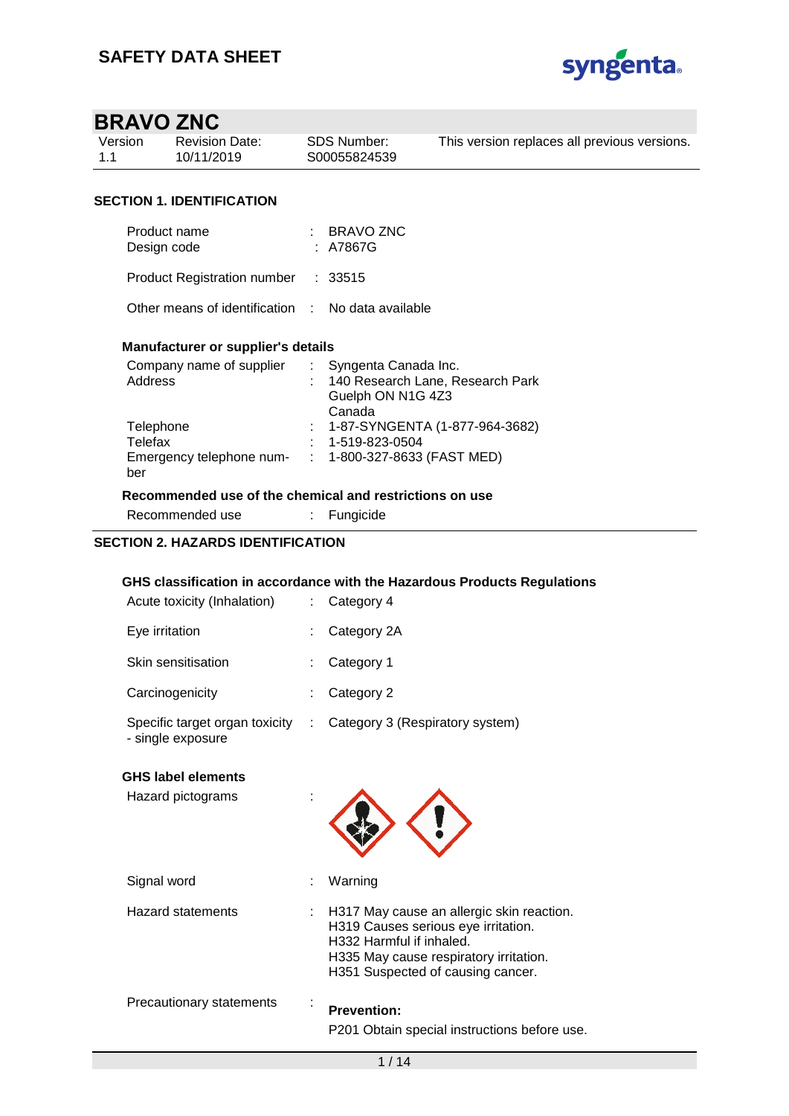

| Version | <b>Revision Date:</b> | SDS Number:  | This version replaces all previous versions. |
|---------|-----------------------|--------------|----------------------------------------------|
| $-1.1$  | 10/11/2019            | S00055824539 |                                              |
|         |                       |              |                                              |

### **SECTION 1. IDENTIFICATION**

| Product name<br>Design code                       |  | : BRAVO ZNC<br>: A7867G |  |  |  |  |  |
|---------------------------------------------------|--|-------------------------|--|--|--|--|--|
| Product Registration number : 33515               |  |                         |  |  |  |  |  |
| Other means of identification : No data available |  |                         |  |  |  |  |  |
| Manufacturer or supplier's details                |  |                         |  |  |  |  |  |

| Company name of supplier | Syngenta Canada Inc.             |
|--------------------------|----------------------------------|
| Address                  | 140 Research Lane, Research Park |
|                          | Guelph ON N1G 4Z3                |
|                          | Canada                           |
| Telephone                | : 1-87-SYNGENTA (1-877-964-3682) |
| Telefax                  | 1-519-823-0504                   |
| Emergency telephone num- | $: 1-800-327-8633$ (FAST MED)    |
| ber                      |                                  |
|                          |                                  |

### **Recommended use of the chemical and restrictions on use**

Recommended use : Fungicide

### **SECTION 2. HAZARDS IDENTIFICATION**

### **GHS classification in accordance with the Hazardous Products Regulations**

| Acute toxicity (Inhalation)                         |    | Category 4                                                                                                                                                                                  |
|-----------------------------------------------------|----|---------------------------------------------------------------------------------------------------------------------------------------------------------------------------------------------|
| Eye irritation                                      |    | Category 2A                                                                                                                                                                                 |
| Skin sensitisation                                  |    | Category 1                                                                                                                                                                                  |
| Carcinogenicity                                     |    | Category 2                                                                                                                                                                                  |
| Specific target organ toxicity<br>- single exposure | ÷. | Category 3 (Respiratory system)                                                                                                                                                             |
| <b>GHS label elements</b>                           |    |                                                                                                                                                                                             |
| Hazard pictograms                                   |    |                                                                                                                                                                                             |
| Signal word                                         |    | Warning                                                                                                                                                                                     |
| Hazard statements                                   |    | H317 May cause an allergic skin reaction.<br>H319 Causes serious eye irritation.<br>H332 Harmful if inhaled.<br>H335 May cause respiratory irritation.<br>H351 Suspected of causing cancer. |
| Precautionary statements                            |    | <b>Prevention:</b><br>P201 Obtain special instructions before use.                                                                                                                          |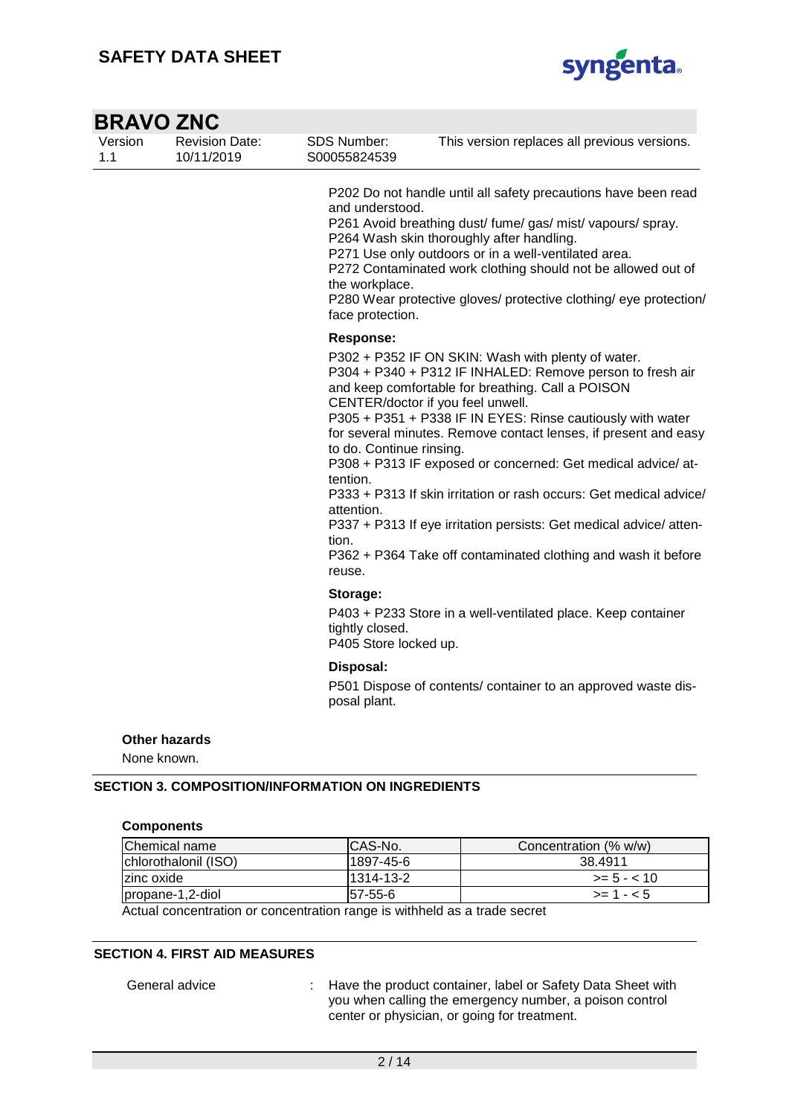

| <b>BRAVO ZNC</b>                    |                                     |                                                                                           |                                                                                                                                                                                                                                                                                                                                                                                                                                                                                                                                                                                                                        |
|-------------------------------------|-------------------------------------|-------------------------------------------------------------------------------------------|------------------------------------------------------------------------------------------------------------------------------------------------------------------------------------------------------------------------------------------------------------------------------------------------------------------------------------------------------------------------------------------------------------------------------------------------------------------------------------------------------------------------------------------------------------------------------------------------------------------------|
| Version                             | <b>Revision Date:</b><br>10/11/2019 | <b>SDS Number:</b><br>S00055824539                                                        | This version replaces all previous versions.                                                                                                                                                                                                                                                                                                                                                                                                                                                                                                                                                                           |
|                                     |                                     | and understood.<br>the workplace.<br>face protection.                                     | P202 Do not handle until all safety precautions have been read<br>P261 Avoid breathing dust/ fume/ gas/ mist/ vapours/ spray.<br>P264 Wash skin thoroughly after handling.<br>P271 Use only outdoors or in a well-ventilated area.<br>P272 Contaminated work clothing should not be allowed out of<br>P280 Wear protective gloves/ protective clothing/ eye protection/                                                                                                                                                                                                                                                |
|                                     |                                     | <b>Response:</b><br>to do. Continue rinsing.<br>tention.<br>attention.<br>tion.<br>reuse. | P302 + P352 IF ON SKIN: Wash with plenty of water.<br>P304 + P340 + P312 IF INHALED: Remove person to fresh air<br>and keep comfortable for breathing. Call a POISON<br>CENTER/doctor if you feel unwell.<br>P305 + P351 + P338 IF IN EYES: Rinse cautiously with water<br>for several minutes. Remove contact lenses, if present and easy<br>P308 + P313 IF exposed or concerned: Get medical advice/ at-<br>P333 + P313 If skin irritation or rash occurs: Get medical advice/<br>P337 + P313 If eye irritation persists: Get medical advice/atten-<br>P362 + P364 Take off contaminated clothing and wash it before |
|                                     |                                     | Storage:<br>tightly closed.<br>P405 Store locked up.                                      | P403 + P233 Store in a well-ventilated place. Keep container                                                                                                                                                                                                                                                                                                                                                                                                                                                                                                                                                           |
|                                     |                                     | Disposal:<br>posal plant.                                                                 | P501 Dispose of contents/ container to an approved waste dis-                                                                                                                                                                                                                                                                                                                                                                                                                                                                                                                                                          |
| <b>Other hazards</b><br>None known. |                                     |                                                                                           |                                                                                                                                                                                                                                                                                                                                                                                                                                                                                                                                                                                                                        |

### **Components**

| Chemical name                                                                                                      | ICAS-No.  | Concentration (% w/w) |  |  |
|--------------------------------------------------------------------------------------------------------------------|-----------|-----------------------|--|--|
| Ichlorothalonil (ISO)                                                                                              | 1897-45-6 | 38.4911               |  |  |
| zinc oxide                                                                                                         | 1314-13-2 | $>= 5 - < 10$         |  |  |
| propane-1,2-diol                                                                                                   | 57-55-6   | $> = 1 - 5$           |  |  |
| . A car collection of a cartered construction of the collection of the later than the collection of the collection |           |                       |  |  |

Actual concentration or concentration range is withheld as a trade secret

### **SECTION 4. FIRST AID MEASURES**

General advice : Have the product container, label or Safety Data Sheet with you when calling the emergency number, a poison control center or physician, or going for treatment.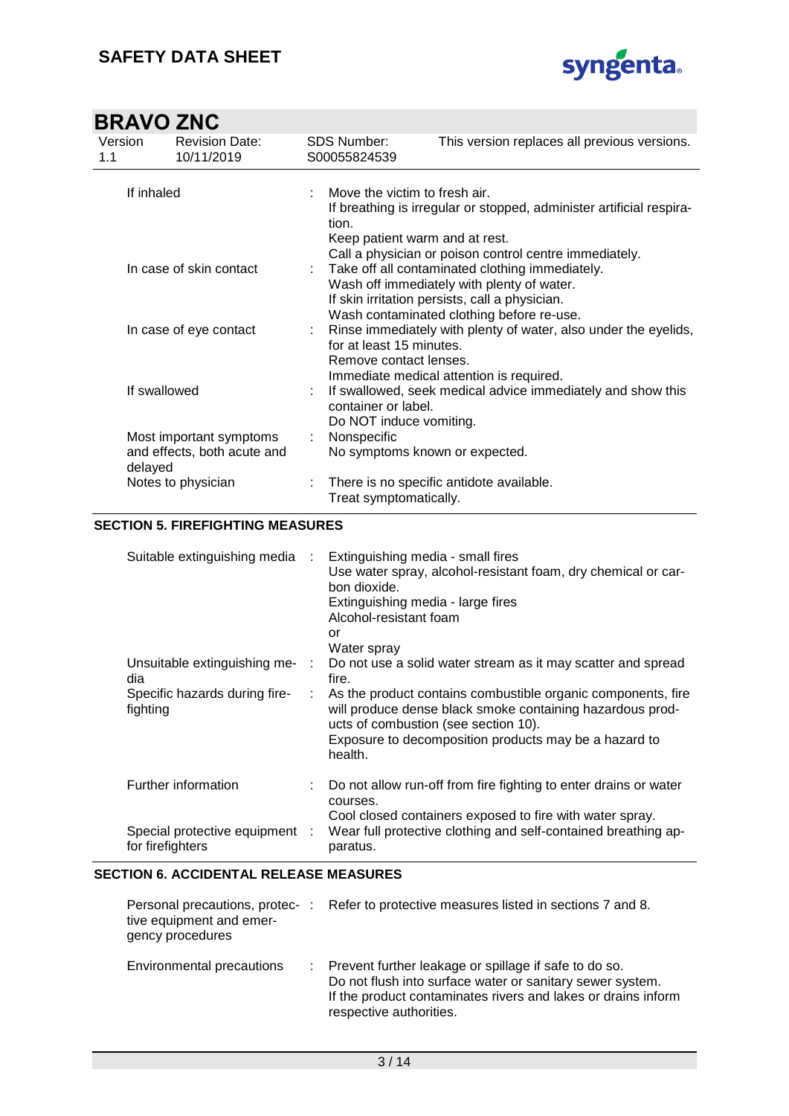

| Version<br>1.1 | <b>Revision Date:</b><br>10/11/2019 | <b>SDS Number:</b><br>S00055824539                 | This version replaces all previous versions.                                                                   |
|----------------|-------------------------------------|----------------------------------------------------|----------------------------------------------------------------------------------------------------------------|
| If inhaled     |                                     | Move the victim to fresh air.                      |                                                                                                                |
|                |                                     | tion.                                              | If breathing is irregular or stopped, administer artificial respira-                                           |
|                |                                     | Keep patient warm and at rest.                     | Call a physician or poison control centre immediately.                                                         |
|                | In case of skin contact             |                                                    | : Take off all contaminated clothing immediately.<br>Wash off immediately with plenty of water.                |
|                |                                     |                                                    | If skin irritation persists, call a physician.                                                                 |
|                | In case of eye contact              |                                                    | Wash contaminated clothing before re-use.<br>: Rinse immediately with plenty of water, also under the eyelids, |
|                |                                     | for at least 15 minutes.<br>Remove contact lenses. |                                                                                                                |
|                |                                     |                                                    | Immediate medical attention is required.                                                                       |
| If swallowed   |                                     | container or label.                                | If swallowed, seek medical advice immediately and show this                                                    |
|                |                                     | Do NOT induce vomiting.                            |                                                                                                                |
|                | Most important symptoms             | Nonspecific                                        |                                                                                                                |
| delayed        | and effects, both acute and         | No symptoms known or expected.                     |                                                                                                                |
|                | Notes to physician                  | Treat symptomatically.                             | There is no specific antidote available.                                                                       |

### **SECTION 5. FIREFIGHTING MEASURES**

| Suitable extinguishing media                       | ÷. | Extinguishing media - small fires<br>Use water spray, alcohol-resistant foam, dry chemical or car-<br>bon dioxide.<br>Extinguishing media - large fires<br>Alcohol-resistant foam<br>Ωr<br>Water spray                     |
|----------------------------------------------------|----|----------------------------------------------------------------------------------------------------------------------------------------------------------------------------------------------------------------------------|
| Unsuitable extinguishing me-<br>dia                |    | Do not use a solid water stream as it may scatter and spread<br>fire.                                                                                                                                                      |
| Specific hazards during fire-<br>fighting          | ÷  | As the product contains combustible organic components, fire<br>will produce dense black smoke containing hazardous prod-<br>ucts of combustion (see section 10).<br>Exposure to decomposition products may be a hazard to |
|                                                    |    | health.                                                                                                                                                                                                                    |
| Further information                                |    | Do not allow run-off from fire fighting to enter drains or water<br>courses.                                                                                                                                               |
| Special protective equipment :<br>for firefighters |    | Cool closed containers exposed to fire with water spray.<br>Wear full protective clothing and self-contained breathing ap-<br>paratus.                                                                                     |

### **SECTION 6. ACCIDENTAL RELEASE MEASURES**

| Personal precautions, protec- :<br>tive equipment and emer-<br>gency procedures |    | Refer to protective measures listed in sections 7 and 8.                                                                                                                                                       |
|---------------------------------------------------------------------------------|----|----------------------------------------------------------------------------------------------------------------------------------------------------------------------------------------------------------------|
| Environmental precautions                                                       | ÷. | Prevent further leakage or spillage if safe to do so.<br>Do not flush into surface water or sanitary sewer system.<br>If the product contaminates rivers and lakes or drains inform<br>respective authorities. |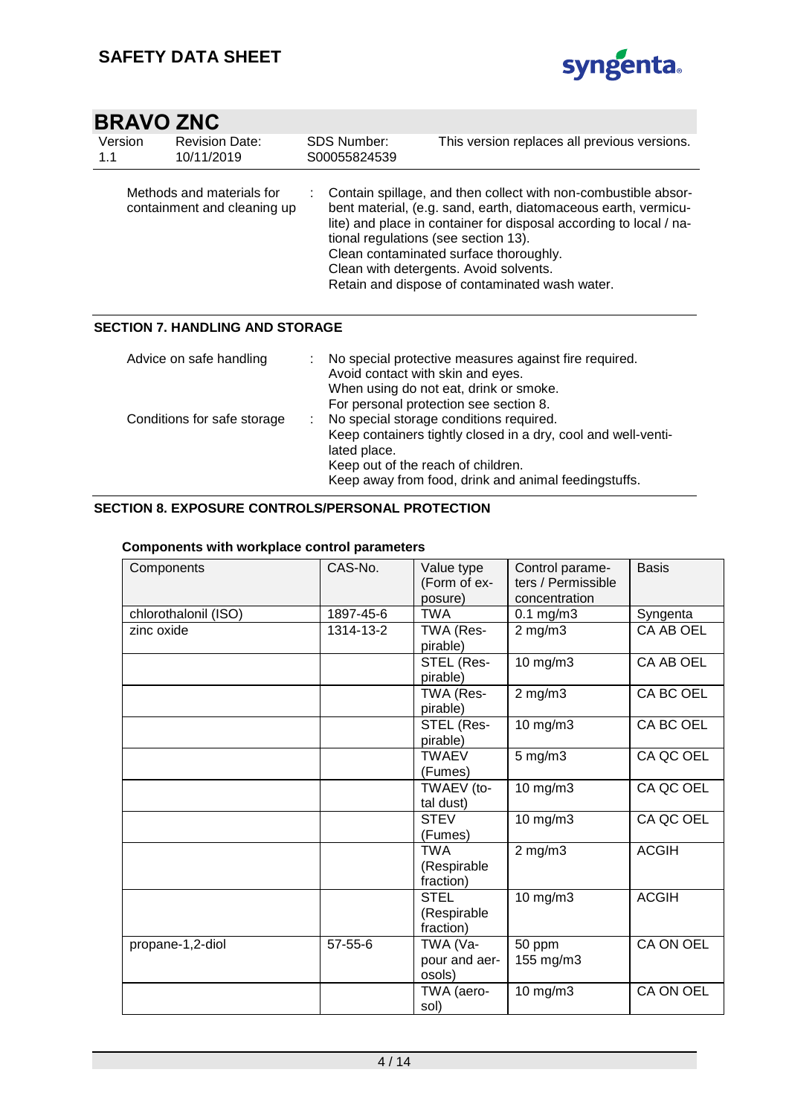

| Version<br>1.1 | <b>Revision Date:</b><br>10/11/2019                      |   | <b>SDS Number:</b><br>S00055824539   | This version replaces all previous versions.                                                                                                                                                                                                                                                                                                 |
|----------------|----------------------------------------------------------|---|--------------------------------------|----------------------------------------------------------------------------------------------------------------------------------------------------------------------------------------------------------------------------------------------------------------------------------------------------------------------------------------------|
|                | Methods and materials for<br>containment and cleaning up |   | tional regulations (see section 13). | Contain spillage, and then collect with non-combustible absor-<br>bent material, (e.g. sand, earth, diatomaceous earth, vermicu-<br>lite) and place in container for disposal according to local / na-<br>Clean contaminated surface thoroughly.<br>Clean with detergents. Avoid solvents.<br>Retain and dispose of contaminated wash water. |
|                | <b>SECTION 7. HANDLING AND STORAGE</b>                   |   |                                      |                                                                                                                                                                                                                                                                                                                                              |
|                | Advice on safe handling                                  |   | Avoid contact with skin and eyes.    | No special protective measures against fire required.<br>When using do not eat, drink or smoke.<br>For personal protection see section 8.                                                                                                                                                                                                    |
|                | Conditions for safe storage                              | ÷ |                                      | No special storage conditions required.<br>Keep containers tightly closed in a dry, cool and well-venti-                                                                                                                                                                                                                                     |

lated place.

Keep out of the reach of children.

Keep away from food, drink and animal feedingstuffs.

### **SECTION 8. EXPOSURE CONTROLS/PERSONAL PROTECTION**

#### **Components with workplace control parameters**

| Components           | CAS-No.       | Value type<br>(Form of ex-<br>posure)   | Control parame-<br>ters / Permissible<br>concentration | <b>Basis</b> |
|----------------------|---------------|-----------------------------------------|--------------------------------------------------------|--------------|
| chlorothalonil (ISO) | 1897-45-6     | <b>TWA</b>                              | $0.1$ mg/m $3$                                         | Syngenta     |
| zinc oxide           | 1314-13-2     | TWA (Res-<br>pirable)                   | $2$ mg/m $3$                                           | CA AB OEL    |
|                      |               | STEL (Res-<br>pirable)                  | $10$ mg/m $3$                                          | CA AB OEL    |
|                      |               | TWA (Res-<br>pirable)                   | $2$ mg/m $3$                                           | CA BC OEL    |
|                      |               | STEL (Res-<br>pirable)                  | $10$ mg/m $3$                                          | CA BC OEL    |
|                      |               | <b>TWAEV</b><br>(Fumes)                 | $5$ mg/m $3$                                           | CA QC OEL    |
|                      |               | TWAEV (to-<br>tal dust)                 | 10 mg/m3                                               | CA QC OEL    |
|                      |               | <b>STEV</b><br>(Fumes)                  | 10 mg/m3                                               | CA QC OEL    |
|                      |               | <b>TWA</b><br>(Respirable<br>fraction)  | $2$ mg/m $3$                                           | <b>ACGIH</b> |
|                      |               | <b>STEL</b><br>(Respirable<br>fraction) | 10 mg/m3                                               | <b>ACGIH</b> |
| propane-1,2-diol     | $57 - 55 - 6$ | TWA (Va-<br>pour and aer-<br>osols)     | 50 ppm<br>155 mg/m3                                    | CA ON OEL    |
|                      |               | TWA (aero-<br>sol)                      | 10 mg/m3                                               | CA ON OEL    |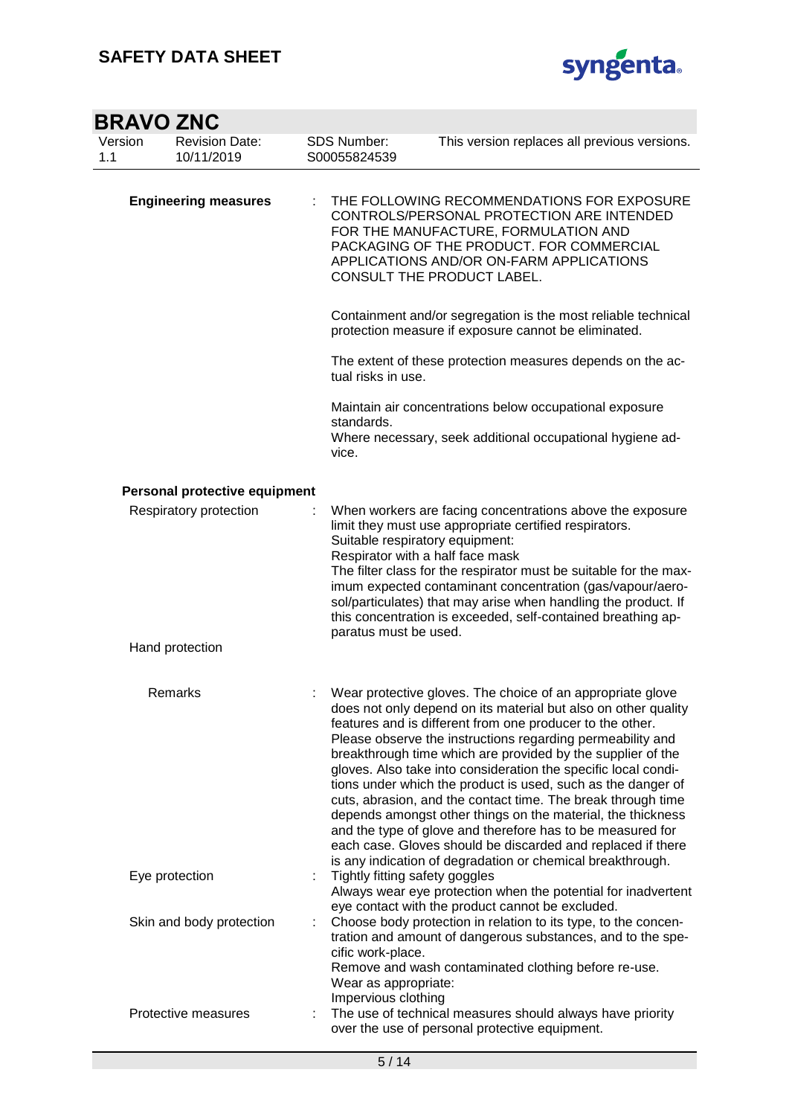

| <b>BRAVO ZNC</b>            |                                     |                                          |                                                                                                                                                                                                                                                                                                                                                                                                                                                                                                                                                                                                                                                                                                                                                                                    |
|-----------------------------|-------------------------------------|------------------------------------------|------------------------------------------------------------------------------------------------------------------------------------------------------------------------------------------------------------------------------------------------------------------------------------------------------------------------------------------------------------------------------------------------------------------------------------------------------------------------------------------------------------------------------------------------------------------------------------------------------------------------------------------------------------------------------------------------------------------------------------------------------------------------------------|
| Version<br>1.1              | <b>Revision Date:</b><br>10/11/2019 | SDS Number:<br>S00055824539              | This version replaces all previous versions.                                                                                                                                                                                                                                                                                                                                                                                                                                                                                                                                                                                                                                                                                                                                       |
| <b>Engineering measures</b> |                                     |                                          | THE FOLLOWING RECOMMENDATIONS FOR EXPOSURE<br>CONTROLS/PERSONAL PROTECTION ARE INTENDED<br>FOR THE MANUFACTURE, FORMULATION AND<br>PACKAGING OF THE PRODUCT. FOR COMMERCIAL<br>APPLICATIONS AND/OR ON-FARM APPLICATIONS<br>CONSULT THE PRODUCT LABEL.                                                                                                                                                                                                                                                                                                                                                                                                                                                                                                                              |
|                             |                                     |                                          | Containment and/or segregation is the most reliable technical<br>protection measure if exposure cannot be eliminated.                                                                                                                                                                                                                                                                                                                                                                                                                                                                                                                                                                                                                                                              |
|                             |                                     | tual risks in use.                       | The extent of these protection measures depends on the ac-                                                                                                                                                                                                                                                                                                                                                                                                                                                                                                                                                                                                                                                                                                                         |
|                             |                                     | standards.<br>vice.                      | Maintain air concentrations below occupational exposure<br>Where necessary, seek additional occupational hygiene ad-                                                                                                                                                                                                                                                                                                                                                                                                                                                                                                                                                                                                                                                               |
|                             | Personal protective equipment       |                                          |                                                                                                                                                                                                                                                                                                                                                                                                                                                                                                                                                                                                                                                                                                                                                                                    |
|                             | Respiratory protection              |                                          | When workers are facing concentrations above the exposure<br>limit they must use appropriate certified respirators.<br>Suitable respiratory equipment:<br>Respirator with a half face mask<br>The filter class for the respirator must be suitable for the max-<br>imum expected contaminant concentration (gas/vapour/aero-<br>sol/particulates) that may arise when handling the product. If<br>this concentration is exceeded, self-contained breathing ap-<br>paratus must be used.                                                                                                                                                                                                                                                                                            |
|                             | Hand protection                     |                                          |                                                                                                                                                                                                                                                                                                                                                                                                                                                                                                                                                                                                                                                                                                                                                                                    |
|                             | Remarks                             |                                          | Wear protective gloves. The choice of an appropriate glove<br>does not only depend on its material but also on other quality<br>features and is different from one producer to the other.<br>Please observe the instructions regarding permeability and<br>breakthrough time which are provided by the supplier of the<br>gloves. Also take into consideration the specific local condi-<br>tions under which the product is used, such as the danger of<br>cuts, abrasion, and the contact time. The break through time<br>depends amongst other things on the material, the thickness<br>and the type of glove and therefore has to be measured for<br>each case. Gloves should be discarded and replaced if there<br>is any indication of degradation or chemical breakthrough. |
|                             | Eye protection                      |                                          | Tightly fitting safety goggles<br>Always wear eye protection when the potential for inadvertent<br>eye contact with the product cannot be excluded.                                                                                                                                                                                                                                                                                                                                                                                                                                                                                                                                                                                                                                |
|                             | Skin and body protection            | cific work-place.<br>Impervious clothing | Choose body protection in relation to its type, to the concen-<br>tration and amount of dangerous substances, and to the spe-<br>Remove and wash contaminated clothing before re-use.<br>Wear as appropriate:                                                                                                                                                                                                                                                                                                                                                                                                                                                                                                                                                                      |
|                             | Protective measures                 |                                          | The use of technical measures should always have priority<br>over the use of personal protective equipment.                                                                                                                                                                                                                                                                                                                                                                                                                                                                                                                                                                                                                                                                        |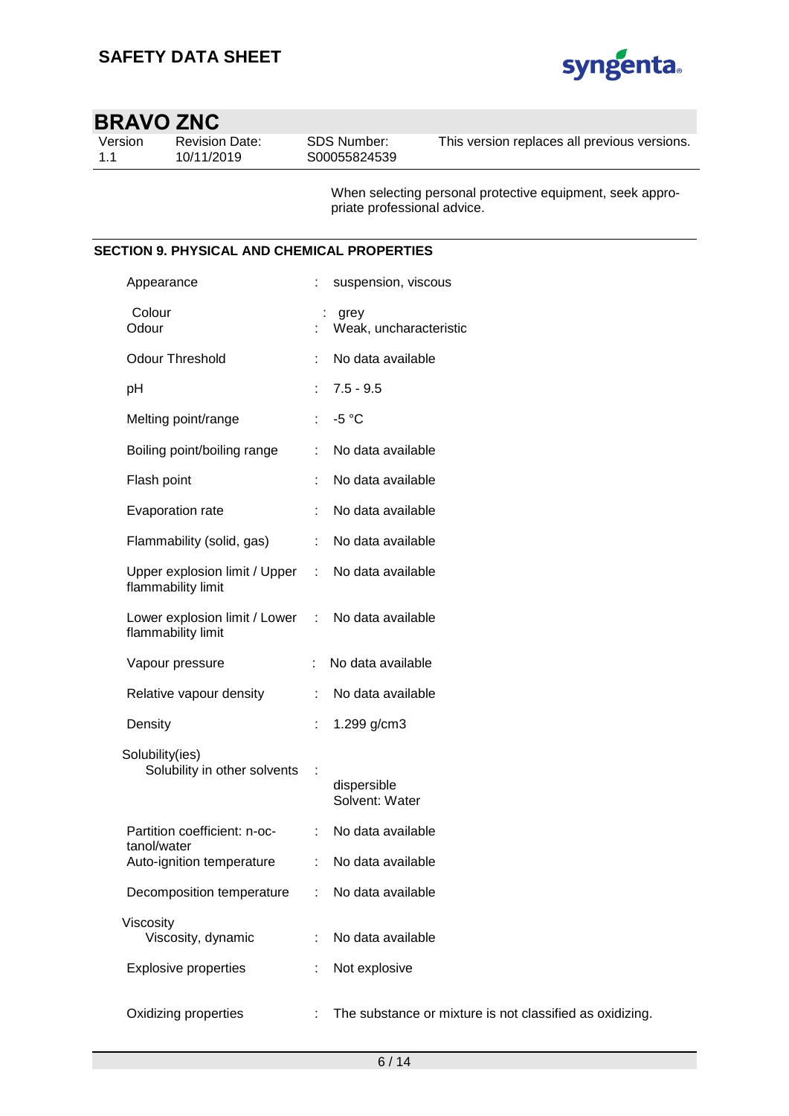

Version 1.1

Revision Date: 10/11/2019

SDS Number: S00055824539

This version replaces all previous versions.

When selecting personal protective equipment, seek appropriate professional advice.

### **SECTION 9. PHYSICAL AND CHEMICAL PROPERTIES**

| Appearance                                                              |                             | suspension, viscous                                      |
|-------------------------------------------------------------------------|-----------------------------|----------------------------------------------------------|
| Colour<br>Odour                                                         |                             | grey<br>Weak, uncharacteristic                           |
| <b>Odour Threshold</b>                                                  | ÷                           | No data available                                        |
| pH                                                                      | ÷.                          | $7.5 - 9.5$                                              |
| Melting point/range                                                     | $\mathbb{R}^n$              | $-5 °C$                                                  |
| Boiling point/boiling range                                             | ÷.                          | No data available                                        |
| Flash point                                                             |                             | No data available                                        |
| Evaporation rate                                                        |                             | No data available                                        |
| Flammability (solid, gas)                                               | $\mathcal{L}^{\mathcal{L}}$ | No data available                                        |
| Upper explosion limit / Upper : No data available<br>flammability limit |                             |                                                          |
| Lower explosion limit / Lower : No data available<br>flammability limit |                             |                                                          |
| Vapour pressure                                                         |                             | : No data available                                      |
| Relative vapour density                                                 | ÷                           | No data available                                        |
| Density                                                                 | ÷                           | 1.299 g/cm3                                              |
| Solubility(ies)<br>Solubility in other solvents                         | $\ddot{\phantom{a}}$        | dispersible<br>Solvent: Water                            |
| Partition coefficient: n-oc-<br>tanol/water                             | $\mathbb{R}^n$              | No data available                                        |
| Auto-ignition temperature                                               |                             | No data available                                        |
| Decomposition temperature                                               |                             | No data available                                        |
| Viscosity<br>Viscosity, dynamic                                         |                             | No data available                                        |
| <b>Explosive properties</b>                                             |                             | Not explosive                                            |
| Oxidizing properties                                                    |                             | The substance or mixture is not classified as oxidizing. |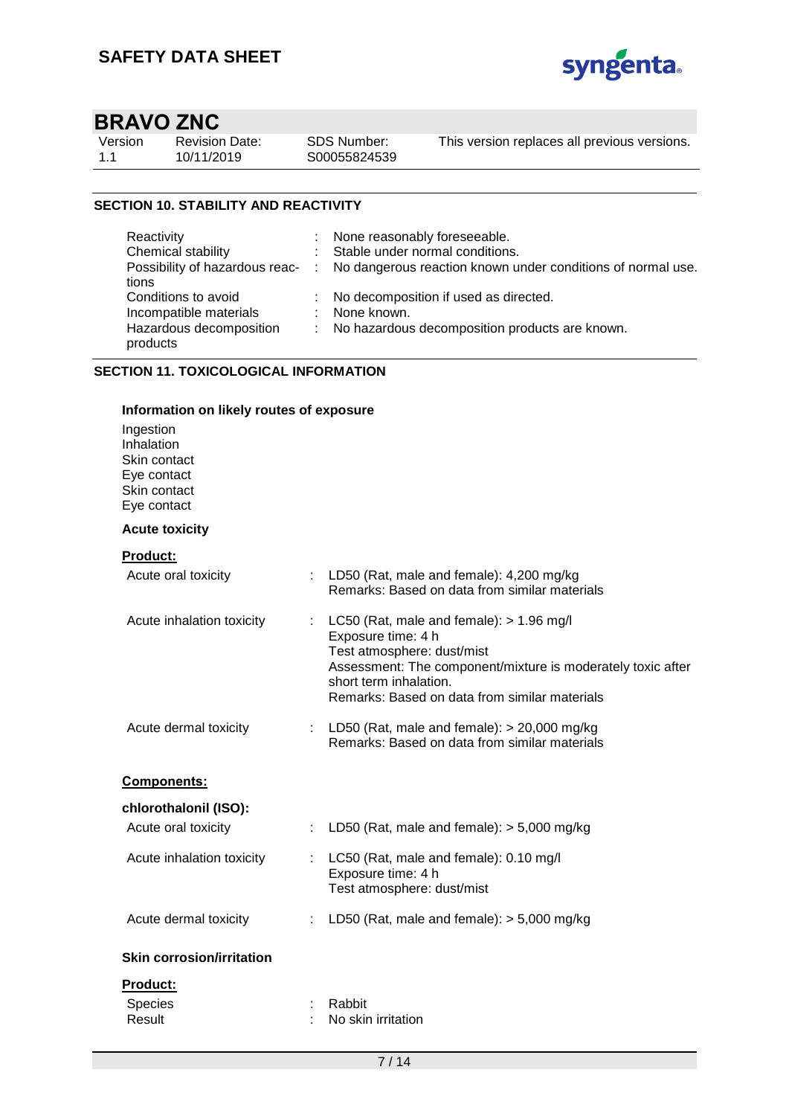

| Version |  |
|---------|--|
| 1.1     |  |

Revision Date: 10/11/2019

SDS Number: S00055824539 This version replaces all previous versions.

### **SECTION 10. STABILITY AND REACTIVITY**

| Reactivity              | : None reasonably foreseeable.                                                               |
|-------------------------|----------------------------------------------------------------------------------------------|
| Chemical stability      | : Stable under normal conditions.                                                            |
|                         | Possibility of hazardous reac- : No dangerous reaction known under conditions of normal use. |
| tions                   |                                                                                              |
| Conditions to avoid     | : No decomposition if used as directed.                                                      |
| Incompatible materials  | : None known.                                                                                |
| Hazardous decomposition | : No hazardous decomposition products are known.                                             |
| products                |                                                                                              |

### **SECTION 11. TOXICOLOGICAL INFORMATION**

### **Information on likely routes of exposure** Ingestion Inhalation Skin contact Eye contact Skin contact Eye contact **Acute toxicity Product:** Acute oral toxicity : LD50 (Rat, male and female): 4,200 mg/kg Remarks: Based on data from similar materials Acute inhalation toxicity : LC50 (Rat, male and female): > 1.96 mg/l Exposure time: 4 h Test atmosphere: dust/mist Assessment: The component/mixture is moderately toxic after short term inhalation. Remarks: Based on data from similar materials Acute dermal toxicity : LD50 (Rat, male and female): > 20,000 mg/kg Remarks: Based on data from similar materials **Components: chlorothalonil (ISO):** Acute oral toxicity : LD50 (Rat, male and female): > 5,000 mg/kg Acute inhalation toxicity : LC50 (Rat, male and female): 0.10 mg/l Exposure time: 4 h Test atmosphere: dust/mist Acute dermal toxicity : LD50 (Rat, male and female): > 5,000 mg/kg **Skin corrosion/irritation Product:** Species : Rabbit Result : No skin irritation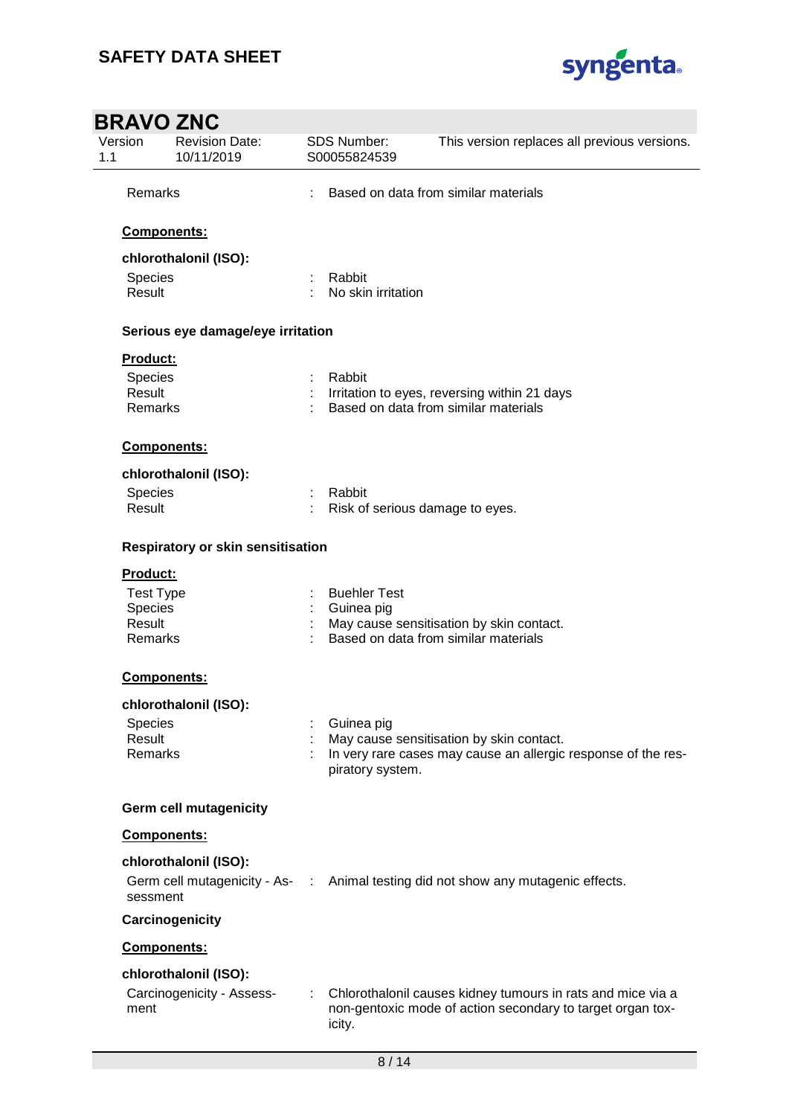

| <b>BRAVO ZNC</b>             |                                                    |   |                                      |                                                                                                                           |
|------------------------------|----------------------------------------------------|---|--------------------------------------|---------------------------------------------------------------------------------------------------------------------------|
| Version<br>1.1               | <b>Revision Date:</b><br>10/11/2019                |   | <b>SDS Number:</b><br>S00055824539   | This version replaces all previous versions.                                                                              |
| Remarks                      |                                                    |   | Based on data from similar materials |                                                                                                                           |
|                              | Components:                                        |   |                                      |                                                                                                                           |
|                              | chlorothalonil (ISO):                              |   |                                      |                                                                                                                           |
| Species<br>Result            |                                                    |   | Rabbit<br>No skin irritation         |                                                                                                                           |
|                              | Serious eye damage/eye irritation                  |   |                                      |                                                                                                                           |
| Product:                     |                                                    |   |                                      |                                                                                                                           |
| Species                      |                                                    |   | Rabbit                               |                                                                                                                           |
| Result<br>Remarks            |                                                    |   |                                      | Irritation to eyes, reversing within 21 days<br>Based on data from similar materials                                      |
|                              | Components:                                        |   |                                      |                                                                                                                           |
|                              | chlorothalonil (ISO):                              |   |                                      |                                                                                                                           |
| Species                      |                                                    |   | Rabbit                               |                                                                                                                           |
| Result                       |                                                    |   |                                      | Risk of serious damage to eyes.                                                                                           |
| Product:<br><b>Test Type</b> | Respiratory or skin sensitisation                  |   | <b>Buehler Test</b>                  |                                                                                                                           |
| Species                      |                                                    |   | Guinea pig                           |                                                                                                                           |
| Result                       |                                                    |   |                                      | May cause sensitisation by skin contact.                                                                                  |
| Remarks                      |                                                    |   |                                      | Based on data from similar materials                                                                                      |
|                              | <b>Components:</b>                                 |   |                                      |                                                                                                                           |
|                              | chlorothalonil (ISO):                              |   |                                      |                                                                                                                           |
| <b>Species</b>               |                                                    |   | Guinea pig                           |                                                                                                                           |
| Result<br><b>Remarks</b>     |                                                    |   | piratory system.                     | May cause sensitisation by skin contact.<br>In very rare cases may cause an allergic response of the res-                 |
|                              | <b>Germ cell mutagenicity</b>                      |   |                                      |                                                                                                                           |
|                              | Components:                                        |   |                                      |                                                                                                                           |
|                              | chlorothalonil (ISO):                              |   |                                      |                                                                                                                           |
| sessment                     |                                                    |   |                                      | Germ cell mutagenicity - As- : Animal testing did not show any mutagenic effects.                                         |
|                              | Carcinogenicity                                    |   |                                      |                                                                                                                           |
|                              | Components:                                        |   |                                      |                                                                                                                           |
| ment                         | chlorothalonil (ISO):<br>Carcinogenicity - Assess- | ÷ | icity.                               | Chlorothalonil causes kidney tumours in rats and mice via a<br>non-gentoxic mode of action secondary to target organ tox- |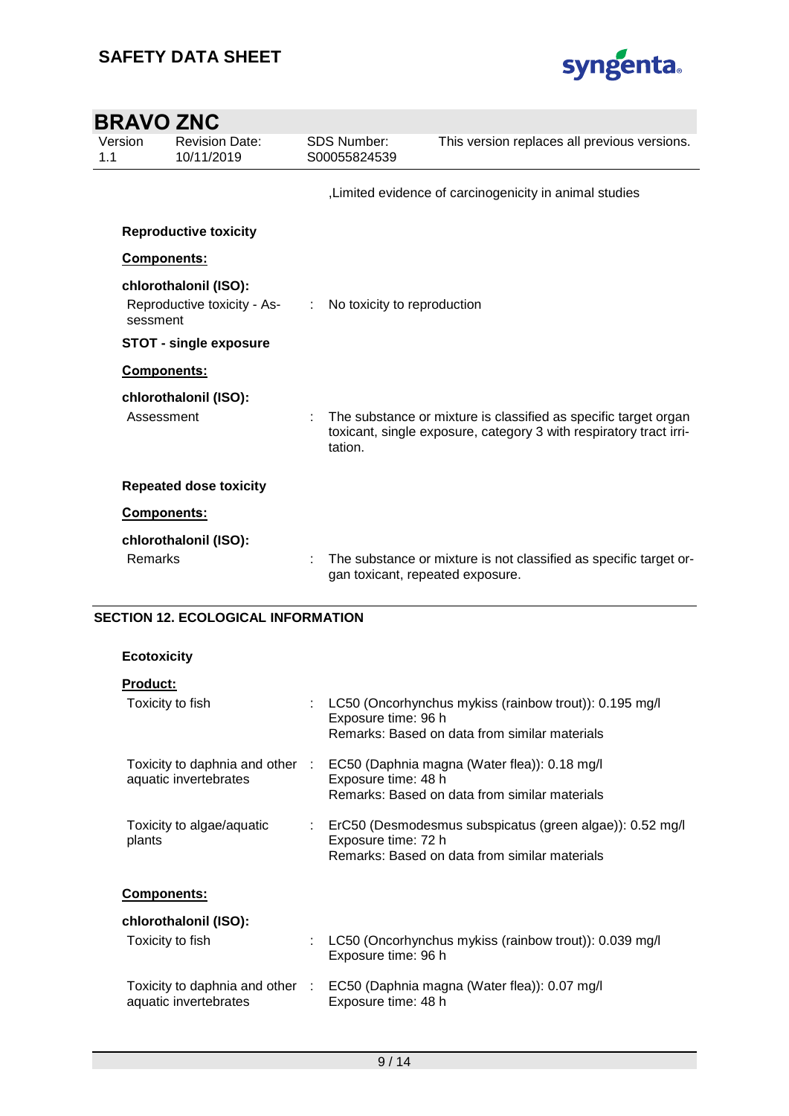

| <b>BRAVO ZNC</b> |                                                      |    |                                    |                                                                                                                                       |
|------------------|------------------------------------------------------|----|------------------------------------|---------------------------------------------------------------------------------------------------------------------------------------|
| Version<br>1.1   | <b>Revision Date:</b><br>10/11/2019                  |    | <b>SDS Number:</b><br>S00055824539 | This version replaces all previous versions.                                                                                          |
|                  |                                                      |    |                                    | Limited evidence of carcinogenicity in animal studies                                                                                 |
|                  | <b>Reproductive toxicity</b>                         |    |                                    |                                                                                                                                       |
| Components:      |                                                      |    |                                    |                                                                                                                                       |
| sessment         | chlorothalonil (ISO):<br>Reproductive toxicity - As- | ÷. | No toxicity to reproduction        |                                                                                                                                       |
|                  | <b>STOT - single exposure</b>                        |    |                                    |                                                                                                                                       |
| Components:      |                                                      |    |                                    |                                                                                                                                       |
| Assessment       | chlorothalonil (ISO):                                |    | tation.                            | The substance or mixture is classified as specific target organ<br>toxicant, single exposure, category 3 with respiratory tract irri- |
|                  | <b>Repeated dose toxicity</b>                        |    |                                    |                                                                                                                                       |
| Components:      |                                                      |    |                                    |                                                                                                                                       |
|                  | chlorothalonil (ISO):                                |    |                                    |                                                                                                                                       |
| Remarks          |                                                      |    | gan toxicant, repeated exposure.   | The substance or mixture is not classified as specific target or-                                                                     |

### **SECTION 12. ECOLOGICAL INFORMATION**

### **Ecotoxicity**

|                                 | LC50 (Oncorhynchus mykiss (rainbow trout)): 0.195 mg/l<br>Exposure time: 96 h<br>Remarks: Based on data from similar materials     |
|---------------------------------|------------------------------------------------------------------------------------------------------------------------------------|
| Toxicity to daphnia and other : | EC50 (Daphnia magna (Water flea)): 0.18 mg/l<br>Exposure time: 48 h<br>Remarks: Based on data from similar materials               |
|                                 | : ErC50 (Desmodesmus subspicatus (green algae)): 0.52 mg/l<br>Exposure time: 72 h<br>Remarks: Based on data from similar materials |
|                                 |                                                                                                                                    |
|                                 |                                                                                                                                    |
|                                 | LC50 (Oncorhynchus mykiss (rainbow trout)): 0.039 mg/l<br>Exposure time: 96 h                                                      |
| Toxicity to daphnia and other : | EC50 (Daphnia magna (Water flea)): 0.07 mg/l<br>Exposure time: 48 h                                                                |
|                                 |                                                                                                                                    |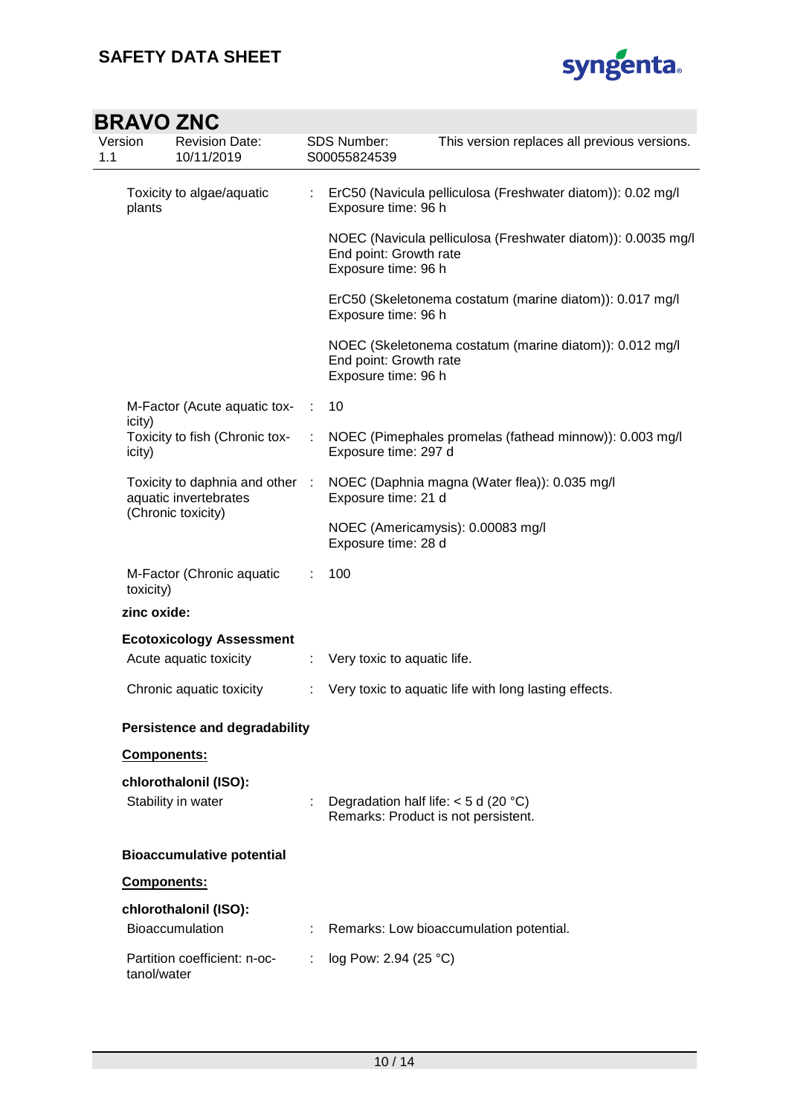

|                                                                              | BRAVU ZNU                                       |                     |                                                                               |                                                              |
|------------------------------------------------------------------------------|-------------------------------------------------|---------------------|-------------------------------------------------------------------------------|--------------------------------------------------------------|
| Version<br>1.1                                                               | <b>Revision Date:</b><br>10/11/2019             |                     | SDS Number:<br>S00055824539                                                   | This version replaces all previous versions.                 |
| Toxicity to algae/aquatic<br>plants                                          |                                                 | ÷                   | Exposure time: 96 h                                                           | ErC50 (Navicula pelliculosa (Freshwater diatom)): 0.02 mg/l  |
|                                                                              |                                                 |                     | End point: Growth rate<br>Exposure time: 96 h                                 | NOEC (Navicula pelliculosa (Freshwater diatom)): 0.0035 mg/l |
|                                                                              |                                                 |                     | Exposure time: 96 h                                                           | ErC50 (Skeletonema costatum (marine diatom)): 0.017 mg/l     |
|                                                                              |                                                 |                     | End point: Growth rate<br>Exposure time: 96 h                                 | NOEC (Skeletonema costatum (marine diatom)): 0.012 mg/l      |
|                                                                              | M-Factor (Acute aquatic tox-                    | ÷                   | 10                                                                            |                                                              |
| icity)<br>icity)                                                             | Toxicity to fish (Chronic tox-                  |                     | Exposure time: 297 d                                                          | NOEC (Pimephales promelas (fathead minnow)): 0.003 mg/l      |
| Toxicity to daphnia and other<br>aquatic invertebrates<br>(Chronic toxicity) | $\cdot$ :                                       | Exposure time: 21 d | NOEC (Daphnia magna (Water flea)): 0.035 mg/l                                 |                                                              |
|                                                                              |                                                 |                     | Exposure time: 28 d                                                           | NOEC (Americamysis): 0.00083 mg/l                            |
| toxicity)                                                                    | M-Factor (Chronic aquatic                       |                     | 100                                                                           |                                                              |
| zinc oxide:                                                                  |                                                 |                     |                                                                               |                                                              |
|                                                                              | <b>Ecotoxicology Assessment</b>                 |                     |                                                                               |                                                              |
|                                                                              | Acute aquatic toxicity                          | ÷                   | Very toxic to aquatic life.                                                   |                                                              |
|                                                                              | Chronic aquatic toxicity                        |                     |                                                                               | Very toxic to aquatic life with long lasting effects.        |
|                                                                              | <b>Persistence and degradability</b>            |                     |                                                                               |                                                              |
| Components:                                                                  |                                                 |                     |                                                                               |                                                              |
|                                                                              | chlorothalonil (ISO):                           |                     |                                                                               |                                                              |
|                                                                              | Stability in water                              |                     | Degradation half life: $<$ 5 d (20 °C)<br>Remarks: Product is not persistent. |                                                              |
|                                                                              | <b>Bioaccumulative potential</b>                |                     |                                                                               |                                                              |
| Components:                                                                  |                                                 |                     |                                                                               |                                                              |
|                                                                              | chlorothalonil (ISO):<br><b>Bioaccumulation</b> |                     |                                                                               | Remarks: Low bioaccumulation potential.                      |
| tanol/water                                                                  | Partition coefficient: n-oc-                    |                     | log Pow: 2.94 (25 °C)                                                         |                                                              |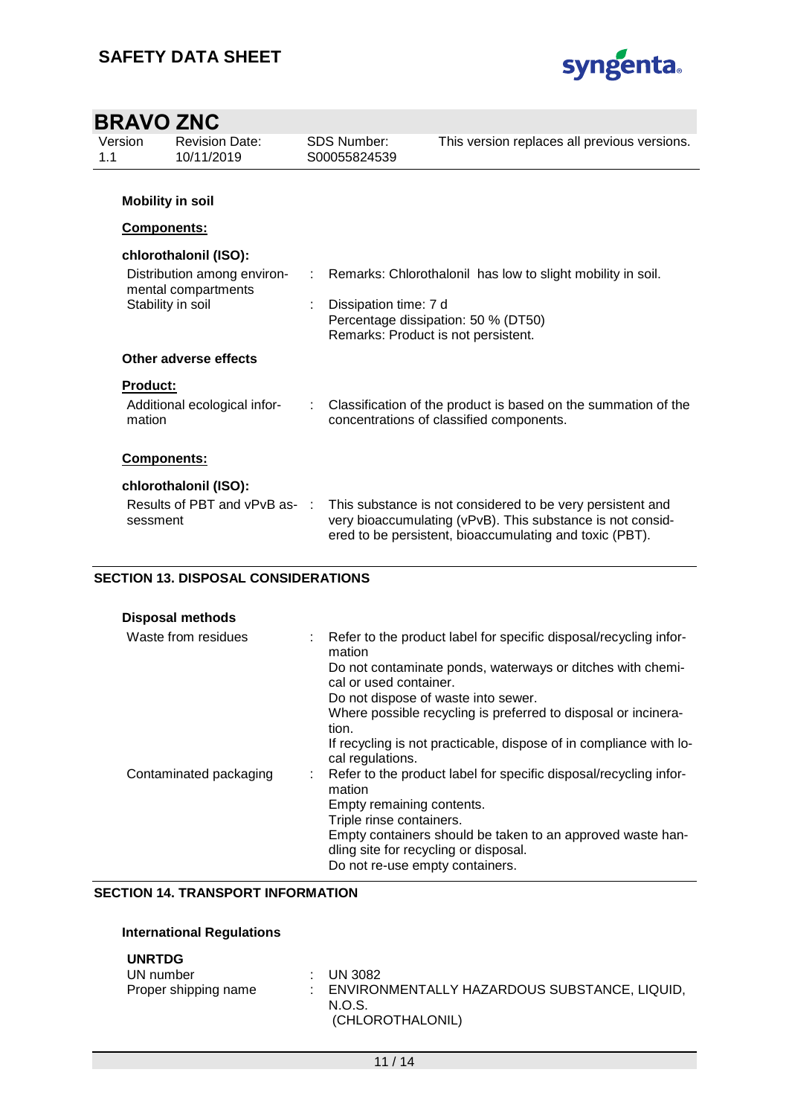

| <b>BRAVO ZNC</b>          |                                                    |   |                                                              |                                                                                                                                                                                     |
|---------------------------|----------------------------------------------------|---|--------------------------------------------------------------|-------------------------------------------------------------------------------------------------------------------------------------------------------------------------------------|
| Version<br>1.1            | <b>Revision Date:</b><br>10/11/2019                |   | <b>SDS Number:</b><br>S00055824539                           | This version replaces all previous versions.                                                                                                                                        |
|                           | <b>Mobility in soil</b>                            |   |                                                              |                                                                                                                                                                                     |
| Components:               |                                                    |   |                                                              |                                                                                                                                                                                     |
|                           | chlorothalonil (ISO):                              |   |                                                              |                                                                                                                                                                                     |
|                           | Distribution among environ-<br>mental compartments | ÷ |                                                              | Remarks: Chlorothalonil has low to slight mobility in soil.                                                                                                                         |
|                           | Stability in soil                                  |   | Dissipation time: 7 d<br>Remarks: Product is not persistent. | Percentage dissipation: 50 % (DT50)                                                                                                                                                 |
|                           | Other adverse effects                              |   |                                                              |                                                                                                                                                                                     |
| <b>Product:</b><br>mation | Additional ecological infor-                       |   |                                                              | Classification of the product is based on the summation of the<br>concentrations of classified components.                                                                          |
| Components:               |                                                    |   |                                                              |                                                                                                                                                                                     |
|                           | chlorothalonil (ISO):                              |   |                                                              |                                                                                                                                                                                     |
| sessment                  | Results of PBT and vPvB as-:                       |   |                                                              | This substance is not considered to be very persistent and<br>very bioaccumulating (vPvB). This substance is not consid-<br>ered to be persistent, bioaccumulating and toxic (PBT). |

### **SECTION 13. DISPOSAL CONSIDERATIONS**

| Waste from residues    | Refer to the product label for specific disposal/recycling infor-<br>mation                         |
|------------------------|-----------------------------------------------------------------------------------------------------|
|                        | Do not contaminate ponds, waterways or ditches with chemi-<br>cal or used container.                |
|                        | Do not dispose of waste into sewer.                                                                 |
|                        | Where possible recycling is preferred to disposal or incinera-<br>tion.                             |
|                        | If recycling is not practicable, dispose of in compliance with lo-<br>cal regulations.              |
| Contaminated packaging | : Refer to the product label for specific disposal/recycling infor-<br>mation                       |
|                        | Empty remaining contents.                                                                           |
|                        | Triple rinse containers.                                                                            |
|                        | Empty containers should be taken to an approved waste han-<br>dling site for recycling or disposal. |
|                        | Do not re-use empty containers.                                                                     |

### **SECTION 14. TRANSPORT INFORMATION**

### **International Regulations**

| <b>UNRTDG</b><br>UN number<br>Proper shipping name | $\therefore$ UN 3082<br>: ENVIRONMENTALLY HAZARDOUS SUBSTANCE, LIQUID,<br>N.O.S.<br>(CHLOROTHALONIL) |
|----------------------------------------------------|------------------------------------------------------------------------------------------------------|
|                                                    |                                                                                                      |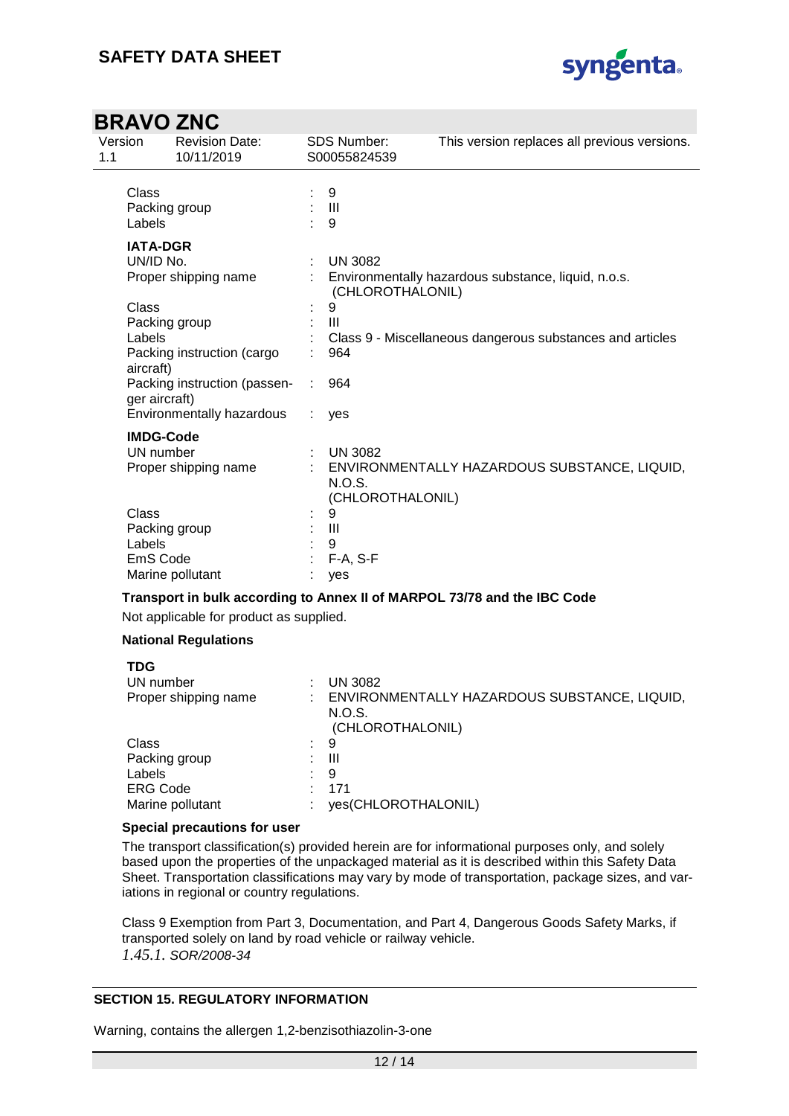

| Version<br>1.1 | <b>Revision Date:</b><br>10/11/2019           |    | <b>SDS Number:</b><br>S00055824539 | This version replaces all previous versions.              |
|----------------|-----------------------------------------------|----|------------------------------------|-----------------------------------------------------------|
| Class          | Packing group                                 |    | 9<br>$: \mathbb{H}$                |                                                           |
| Labels         |                                               |    | 9                                  |                                                           |
|                | <b>IATA-DGR</b>                               |    |                                    |                                                           |
|                | UN/ID No.                                     | t. | <b>UN 3082</b>                     |                                                           |
|                | Proper shipping name                          |    | (CHLOROTHALONIL)                   | Environmentally hazardous substance, liquid, n.o.s.       |
| Class          |                                               |    | 9                                  |                                                           |
|                | Packing group                                 |    | Ш                                  |                                                           |
| Labels         |                                               |    |                                    | Class 9 - Miscellaneous dangerous substances and articles |
| aircraft)      | Packing instruction (cargo                    |    | 964                                |                                                           |
|                | Packing instruction (passen-<br>ger aircraft) |    | 964                                |                                                           |
|                | Environmentally hazardous                     |    | yes                                |                                                           |
|                | <b>IMDG-Code</b>                              |    |                                    |                                                           |
|                | UN number                                     |    | $:$ UN 3082                        |                                                           |
|                | Proper shipping name                          |    | N.O.S.<br>(CHLOROTHALONIL)         | ENVIRONMENTALLY HAZARDOUS SUBSTANCE, LIQUID,              |
| Class          |                                               |    | 9                                  |                                                           |
|                | Packing group                                 |    | $\mathbf{III}$                     |                                                           |
| Labels         |                                               |    | 9                                  |                                                           |
|                | EmS Code                                      |    | $F-A, S-F$                         |                                                           |
|                | Marine pollutant                              |    | yes                                |                                                           |

### **Transport in bulk according to Annex II of MARPOL 73/78 and the IBC Code**

Not applicable for product as supplied.

### **National Regulations**

| <b>TDG</b>           |    |                                                                            |
|----------------------|----|----------------------------------------------------------------------------|
| UN number            |    | <b>UN 3082</b>                                                             |
| Proper shipping name |    | ENVIRONMENTALLY HAZARDOUS SUBSTANCE, LIQUID,<br>N.O.S.<br>(CHLOROTHALONIL) |
| Class                | ÷. | 9                                                                          |
| Packing group        |    | Ш                                                                          |
| Labels               |    | 9                                                                          |
| <b>ERG Code</b>      |    | 171                                                                        |
| Marine pollutant     |    | yes(CHLOROTHALONIL)                                                        |

### **Special precautions for user**

The transport classification(s) provided herein are for informational purposes only, and solely based upon the properties of the unpackaged material as it is described within this Safety Data Sheet. Transportation classifications may vary by mode of transportation, package sizes, and variations in regional or country regulations.

Class 9 Exemption from Part 3, Documentation, and Part 4, Dangerous Goods Safety Marks, if transported solely on land by road vehicle or railway vehicle. *1.45.1. SOR/2008-34*

### **SECTION 15. REGULATORY INFORMATION**

Warning, contains the allergen 1,2-benzisothiazolin-3-one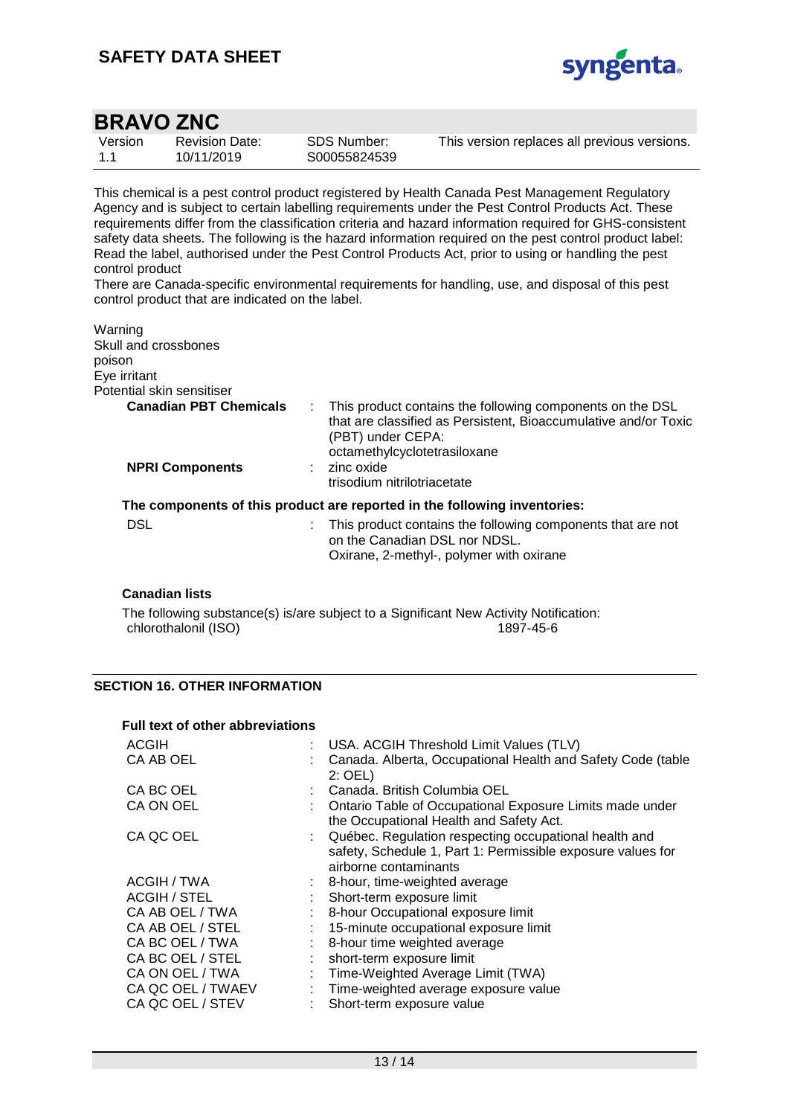

| Version | <b>Revision Date:</b> |
|---------|-----------------------|
| 1.1     | 10/11/2019            |

SDS Number: S00055824539 This version replaces all previous versions.

This chemical is a pest control product registered by Health Canada Pest Management Regulatory Agency and is subject to certain labelling requirements under the Pest Control Products Act. These requirements differ from the classification criteria and hazard information required for GHS-consistent safety data sheets. The following is the hazard information required on the pest control product label: Read the label, authorised under the Pest Control Products Act, prior to using or handling the pest control product

There are Canada-specific environmental requirements for handling, use, and disposal of this pest control product that are indicated on the label.

| Warning                       |                                                                                                                                                                                         |
|-------------------------------|-----------------------------------------------------------------------------------------------------------------------------------------------------------------------------------------|
| Skull and crossbones          |                                                                                                                                                                                         |
| poison                        |                                                                                                                                                                                         |
| Eye irritant                  |                                                                                                                                                                                         |
| Potential skin sensitiser     |                                                                                                                                                                                         |
| <b>Canadian PBT Chemicals</b> | This product contains the following components on the DSL<br>÷.<br>that are classified as Persistent, Bioaccumulative and/or Toxic<br>(PBT) under CEPA:<br>octamethylcyclotetrasiloxane |
| <b>NPRI Components</b>        | $:$ zinc oxide<br>trisodium nitrilotriacetate                                                                                                                                           |
|                               | The components of this product are reported in the following inventories:                                                                                                               |
| <b>DSL</b>                    | This product contains the following components that are not<br>on the Canadian DSL nor NDSL.<br>Oxirane, 2-methyl-, polymer with oxirane                                                |
|                               |                                                                                                                                                                                         |

### **Canadian lists**

The following substance(s) is/are subject to a Significant New Activity Notification: chlorothalonil (ISO) 1897-45-6

### **SECTION 16. OTHER INFORMATION**

| <b>Full text of other abbreviations</b> |                                                                                                                                                 |
|-----------------------------------------|-------------------------------------------------------------------------------------------------------------------------------------------------|
| <b>ACGIH</b>                            | : USA. ACGIH Threshold Limit Values (TLV)                                                                                                       |
| CA AB OEL                               | Canada. Alberta, Occupational Health and Safety Code (table<br>$2:$ OEL)                                                                        |
| CA BC OEL                               | : Canada. British Columbia OEL                                                                                                                  |
| CA ON OEL                               | Ontario Table of Occupational Exposure Limits made under<br>the Occupational Health and Safety Act.                                             |
| CA QC OEL                               | : Québec. Regulation respecting occupational health and<br>safety, Schedule 1, Part 1: Permissible exposure values for<br>airborne contaminants |
| ACGIH / TWA                             | 8-hour, time-weighted average                                                                                                                   |
| <b>ACGIH / STEL</b>                     | Short-term exposure limit                                                                                                                       |
| CA AB OEL / TWA                         | 8-hour Occupational exposure limit                                                                                                              |
| CA AB OEL / STEL                        | 15-minute occupational exposure limit                                                                                                           |
| CA BC OEL / TWA                         | 8-hour time weighted average                                                                                                                    |
| CA BC OEL / STEL                        | short-term exposure limit                                                                                                                       |
| CA ON OEL / TWA                         | : Time-Weighted Average Limit (TWA)                                                                                                             |
| CA QC OEL / TWAEV                       | : Time-weighted average exposure value                                                                                                          |
| CA QC OEL / STEV                        | Short-term exposure value                                                                                                                       |